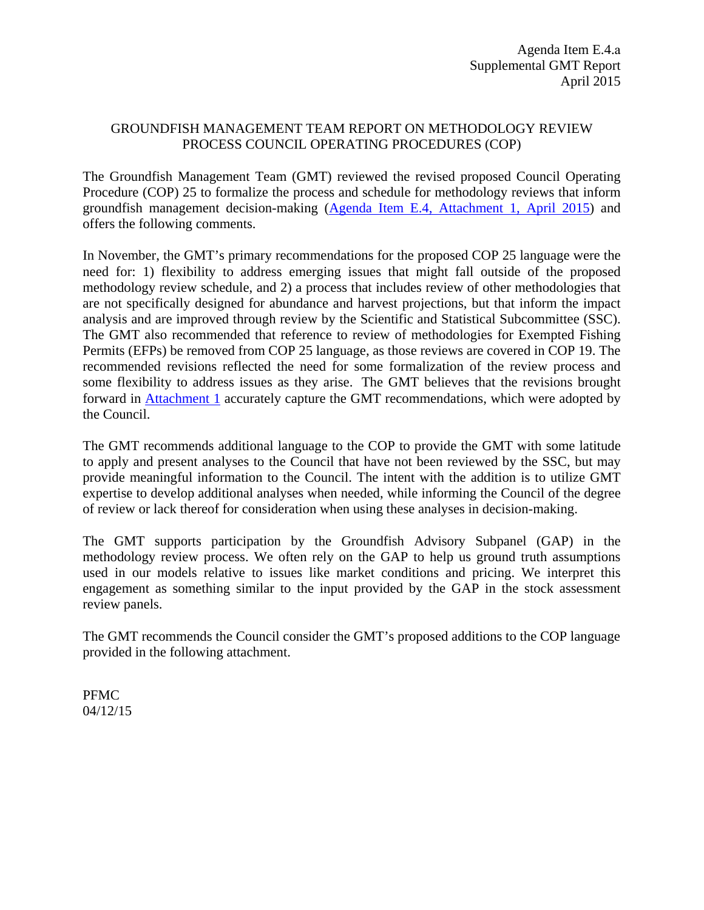## GROUNDFISH MANAGEMENT TEAM REPORT ON METHODOLOGY REVIEW PROCESS COUNCIL OPERATING PROCEDURES (COP)

The Groundfish Management Team (GMT) reviewed the revised proposed Council Operating Procedure (COP) 25 to formalize the process and schedule for methodology reviews that inform groundfish management decision-making (Agenda Item E.4, Attachment 1, April 2015) and offers the following comments.

In November, the GMT's primary recommendations for the proposed COP 25 language were the need for: 1) flexibility to address emerging issues that might fall outside of the proposed methodology review schedule, and 2) a process that includes review of other methodologies that are not specifically designed for abundance and harvest projections, but that inform the impact analysis and are improved through review by the Scientific and Statistical Subcommittee (SSC). The GMT also recommended that reference to review of methodologies for Exempted Fishing Permits (EFPs) be removed from COP 25 language, as those reviews are covered in COP 19. The recommended revisions reflected the need for some formalization of the review process and some flexibility to address issues as they arise. The GMT believes that the revisions brought forward in Attachment 1 accurately capture the GMT recommendations, which were adopted by the Council.

The GMT recommends additional language to the COP to provide the GMT with some latitude to apply and present analyses to the Council that have not been reviewed by the SSC, but may provide meaningful information to the Council. The intent with the addition is to utilize GMT expertise to develop additional analyses when needed, while informing the Council of the degree of review or lack thereof for consideration when using these analyses in decision-making.

The GMT supports participation by the Groundfish Advisory Subpanel (GAP) in the methodology review process. We often rely on the GAP to help us ground truth assumptions used in our models relative to issues like market conditions and pricing. We interpret this engagement as something similar to the input provided by the GAP in the stock assessment review panels.

The GMT recommends the Council consider the GMT's proposed additions to the COP language provided in the following attachment.

PFMC 04/12/15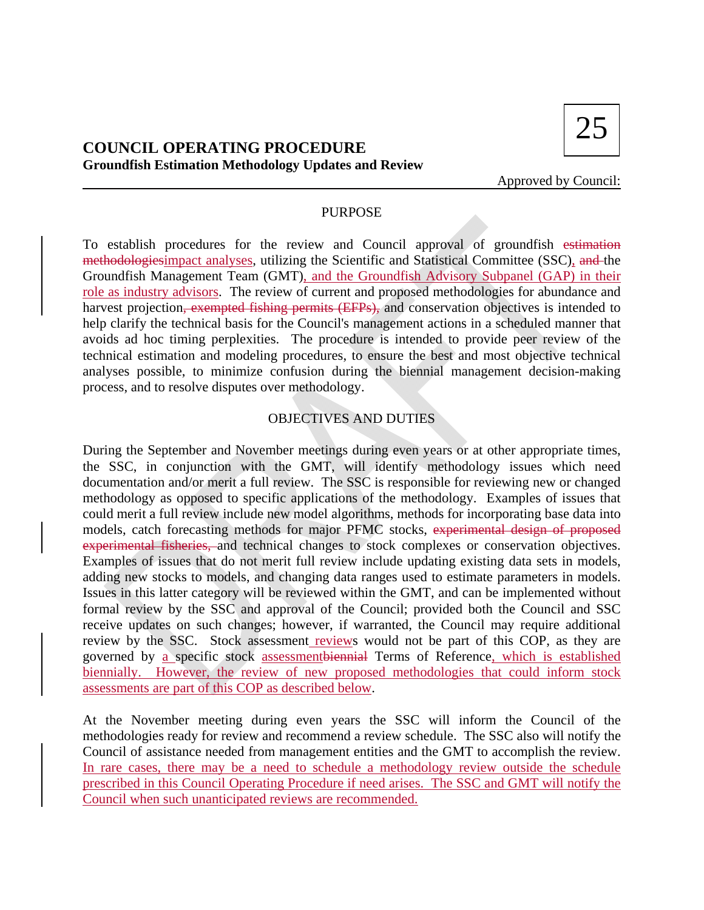

## **COUNCIL OPERATING PROCEDURE Groundfish Estimation Methodology Updates and Review**

Approved by Council:

## PURPOSE

To establish procedures for the review and Council approval of groundfish estimation methodologiesimpact analyses, utilizing the Scientific and Statistical Committee (SSC), and the Groundfish Management Team (GMT), and the Groundfish Advisory Subpanel (GAP) in their role as industry advisors. The review of current and proposed methodologies for abundance and harvest projection, exempted fishing permits (EFPs), and conservation objectives is intended to help clarify the technical basis for the Council's management actions in a scheduled manner that avoids ad hoc timing perplexities. The procedure is intended to provide peer review of the technical estimation and modeling procedures, to ensure the best and most objective technical analyses possible, to minimize confusion during the biennial management decision-making process, and to resolve disputes over methodology.

## OBJECTIVES AND DUTIES

During the September and November meetings during even years or at other appropriate times, the SSC, in conjunction with the GMT, will identify methodology issues which need documentation and/or merit a full review. The SSC is responsible for reviewing new or changed methodology as opposed to specific applications of the methodology. Examples of issues that could merit a full review include new model algorithms, methods for incorporating base data into models, catch forecasting methods for major PFMC stocks, experimental design of proposed experimental fisheries, and technical changes to stock complexes or conservation objectives. Examples of issues that do not merit full review include updating existing data sets in models, adding new stocks to models, and changing data ranges used to estimate parameters in models. Issues in this latter category will be reviewed within the GMT, and can be implemented without formal review by the SSC and approval of the Council; provided both the Council and SSC receive updates on such changes; however, if warranted, the Council may require additional review by the SSC. Stock assessment reviews would not be part of this COP, as they are governed by a specific stock assessmentbiennial Terms of Reference, which is established biennially. However, the review of new proposed methodologies that could inform stock assessments are part of this COP as described below.

At the November meeting during even years the SSC will inform the Council of the methodologies ready for review and recommend a review schedule. The SSC also will notify the Council of assistance needed from management entities and the GMT to accomplish the review. In rare cases, there may be a need to schedule a methodology review outside the schedule prescribed in this Council Operating Procedure if need arises. The SSC and GMT will notify the Council when such unanticipated reviews are recommended.